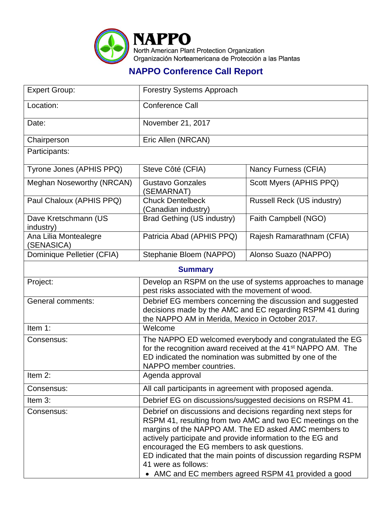

## **NAPPO Conference Call Report**

| <b>Expert Group:</b>                | <b>Forestry Systems Approach</b>                                                                                                                                                                                                                                                                                                                                                                                                                 |                            |  |  |
|-------------------------------------|--------------------------------------------------------------------------------------------------------------------------------------------------------------------------------------------------------------------------------------------------------------------------------------------------------------------------------------------------------------------------------------------------------------------------------------------------|----------------------------|--|--|
| Location:                           | <b>Conference Call</b>                                                                                                                                                                                                                                                                                                                                                                                                                           |                            |  |  |
| Date:                               | November 21, 2017                                                                                                                                                                                                                                                                                                                                                                                                                                |                            |  |  |
| Chairperson                         | Eric Allen (NRCAN)                                                                                                                                                                                                                                                                                                                                                                                                                               |                            |  |  |
| Participants:                       |                                                                                                                                                                                                                                                                                                                                                                                                                                                  |                            |  |  |
| Tyrone Jones (APHIS PPQ)            | Steve Côté (CFIA)                                                                                                                                                                                                                                                                                                                                                                                                                                | Nancy Furness (CFIA)       |  |  |
| Meghan Noseworthy (NRCAN)           | <b>Gustavo Gonzales</b><br>(SEMARNAT)                                                                                                                                                                                                                                                                                                                                                                                                            | Scott Myers (APHIS PPQ)    |  |  |
| Paul Chaloux (APHIS PPQ)            | <b>Chuck Dentelbeck</b><br>(Canadian industry)                                                                                                                                                                                                                                                                                                                                                                                                   | Russell Reck (US industry) |  |  |
| Dave Kretschmann (US<br>industry)   | Brad Gething (US industry)                                                                                                                                                                                                                                                                                                                                                                                                                       | Faith Campbell (NGO)       |  |  |
| Ana Lilia Montealegre<br>(SENASICA) | Patricia Abad (APHIS PPQ)                                                                                                                                                                                                                                                                                                                                                                                                                        | Rajesh Ramarathnam (CFIA)  |  |  |
| Dominique Pelletier (CFIA)          | Stephanie Bloem (NAPPO)                                                                                                                                                                                                                                                                                                                                                                                                                          | Alonso Suazo (NAPPO)       |  |  |
| <b>Summary</b>                      |                                                                                                                                                                                                                                                                                                                                                                                                                                                  |                            |  |  |
| Project:                            | Develop an RSPM on the use of systems approaches to manage<br>pest risks associated with the movement of wood.                                                                                                                                                                                                                                                                                                                                   |                            |  |  |
| <b>General comments:</b>            | Debrief EG members concerning the discussion and suggested<br>decisions made by the AMC and EC regarding RSPM 41 during<br>the NAPPO AM in Merida, Mexico in October 2017.                                                                                                                                                                                                                                                                       |                            |  |  |
| Item 1:                             | Welcome                                                                                                                                                                                                                                                                                                                                                                                                                                          |                            |  |  |
| Consensus:                          | The NAPPO ED welcomed everybody and congratulated the EG<br>for the recognition award received at the 41 <sup>st</sup> NAPPO AM. The<br>ED indicated the nomination was submitted by one of the<br>NAPPO member countries.                                                                                                                                                                                                                       |                            |  |  |
| Item 2:                             | Agenda approval                                                                                                                                                                                                                                                                                                                                                                                                                                  |                            |  |  |
| Consensus:                          | All call participants in agreement with proposed agenda.                                                                                                                                                                                                                                                                                                                                                                                         |                            |  |  |
| Item 3:                             | Debrief EG on discussions/suggested decisions on RSPM 41.                                                                                                                                                                                                                                                                                                                                                                                        |                            |  |  |
| Consensus:                          | Debrief on discussions and decisions regarding next steps for<br>RSPM 41, resulting from two AMC and two EC meetings on the<br>margins of the NAPPO AM. The ED asked AMC members to<br>actively participate and provide information to the EG and<br>encouraged the EG members to ask questions.<br>ED indicated that the main points of discussion regarding RSPM<br>41 were as follows:<br>• AMC and EC members agreed RSPM 41 provided a good |                            |  |  |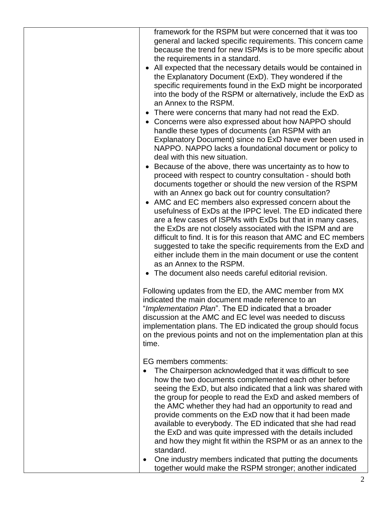| framework for the RSPM but were concerned that it was too<br>general and lacked specific requirements. This concern came<br>because the trend for new ISPMs is to be more specific about<br>the requirements in a standard.<br>All expected that the necessary details would be contained in<br>the Explanatory Document (ExD). They wondered if the<br>specific requirements found in the ExD might be incorporated<br>into the body of the RSPM or alternatively, include the ExD as<br>an Annex to the RSPM.<br>There were concerns that many had not read the ExD.<br>Concerns were also expressed about how NAPPO should<br>$\bullet$<br>handle these types of documents (an RSPM with an<br>Explanatory Document) since no ExD have ever been used in<br>NAPPO. NAPPO lacks a foundational document or policy to<br>deal with this new situation.<br>Because of the above, there was uncertainty as to how to<br>$\bullet$<br>proceed with respect to country consultation - should both<br>documents together or should the new version of the RSPM<br>with an Annex go back out for country consultation?<br>AMC and EC members also expressed concern about the<br>$\bullet$<br>usefulness of ExDs at the IPPC level. The ED indicated there<br>are a few cases of ISPMs with ExDs but that in many cases,<br>the ExDs are not closely associated with the ISPM and are<br>difficult to find. It is for this reason that AMC and EC members<br>suggested to take the specific requirements from the ExD and<br>either include them in the main document or use the content<br>as an Annex to the RSPM.<br>• The document also needs careful editorial revision. |
|--------------------------------------------------------------------------------------------------------------------------------------------------------------------------------------------------------------------------------------------------------------------------------------------------------------------------------------------------------------------------------------------------------------------------------------------------------------------------------------------------------------------------------------------------------------------------------------------------------------------------------------------------------------------------------------------------------------------------------------------------------------------------------------------------------------------------------------------------------------------------------------------------------------------------------------------------------------------------------------------------------------------------------------------------------------------------------------------------------------------------------------------------------------------------------------------------------------------------------------------------------------------------------------------------------------------------------------------------------------------------------------------------------------------------------------------------------------------------------------------------------------------------------------------------------------------------------------------------------------------------------------------------------------------------|
| Following updates from the ED, the AMC member from MX<br>indicated the main document made reference to an<br>"Implementation Plan". The ED indicated that a broader<br>discussion at the AMC and EC level was needed to discuss<br>implementation plans. The ED indicated the group should focus<br>on the previous points and not on the implementation plan at this<br>time.                                                                                                                                                                                                                                                                                                                                                                                                                                                                                                                                                                                                                                                                                                                                                                                                                                                                                                                                                                                                                                                                                                                                                                                                                                                                                           |
| EG members comments:<br>The Chairperson acknowledged that it was difficult to see<br>how the two documents complemented each other before<br>seeing the ExD, but also indicated that a link was shared with<br>the group for people to read the ExD and asked members of<br>the AMC whether they had had an opportunity to read and<br>provide comments on the ExD now that it had been made<br>available to everybody. The ED indicated that she had read<br>the ExD and was quite impressed with the details included<br>and how they might fit within the RSPM or as an annex to the<br>standard.<br>One industry members indicated that putting the documents<br>together would make the RSPM stronger; another indicated                                                                                                                                                                                                                                                                                                                                                                                                                                                                                                                                                                                                                                                                                                                                                                                                                                                                                                                                            |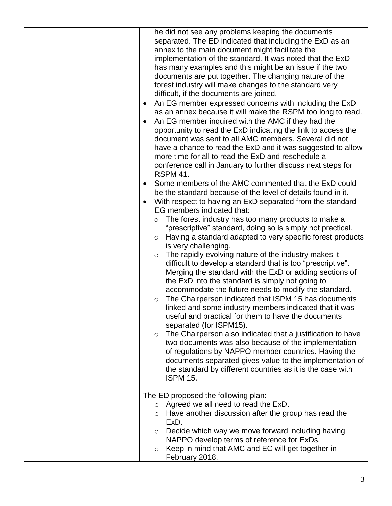| he did not see any problems keeping the documents<br>separated. The ED indicated that including the ExD as an<br>annex to the main document might facilitate the<br>implementation of the standard. It was noted that the ExD<br>has many examples and this might be an issue if the two<br>documents are put together. The changing nature of the<br>forest industry will make changes to the standard very<br>difficult, if the documents are joined.<br>An EG member expressed concerns with including the ExD<br>$\bullet$<br>as an annex because it will make the RSPM too long to read.<br>An EG member inquired with the AMC if they had the<br>opportunity to read the ExD indicating the link to access the<br>document was sent to all AMC members. Several did not<br>have a chance to read the ExD and it was suggested to allow<br>more time for all to read the ExD and reschedule a<br>conference call in January to further discuss next steps for<br><b>RSPM 41.</b><br>Some members of the AMC commented that the ExD could<br>be the standard because of the level of details found in it.<br>With respect to having an ExD separated from the standard<br>EG members indicated that: |
|----------------------------------------------------------------------------------------------------------------------------------------------------------------------------------------------------------------------------------------------------------------------------------------------------------------------------------------------------------------------------------------------------------------------------------------------------------------------------------------------------------------------------------------------------------------------------------------------------------------------------------------------------------------------------------------------------------------------------------------------------------------------------------------------------------------------------------------------------------------------------------------------------------------------------------------------------------------------------------------------------------------------------------------------------------------------------------------------------------------------------------------------------------------------------------------------------------|
| The forest industry has too many products to make a<br>$\circ$<br>"prescriptive" standard, doing so is simply not practical.<br>Having a standard adapted to very specific forest products<br>$\circ$<br>is very challenging.<br>The rapidly evolving nature of the industry makes it<br>$\circ$<br>difficult to develop a standard that is too "prescriptive".<br>Merging the standard with the ExD or adding sections of<br>the ExD into the standard is simply not going to<br>accommodate the future needs to modify the standard.<br>The Chairperson indicated that ISPM 15 has documents<br>$\circ$<br>linked and some industry members indicated that it was<br>useful and practical for them to have the documents<br>separated (for ISPM15).<br>The Chairperson also indicated that a justification to have<br>$\circ$<br>two documents was also because of the implementation<br>of regulations by NAPPO member countries. Having the<br>documents separated gives value to the implementation of<br>the standard by different countries as it is the case with<br><b>ISPM 15.</b>                                                                                                             |
| The ED proposed the following plan:<br>$\circ$ Agreed we all need to read the ExD.<br>Have another discussion after the group has read the<br>$\circ$<br>ExD.<br>Decide which way we move forward including having<br>$\circ$<br>NAPPO develop terms of reference for ExDs.<br>Keep in mind that AMC and EC will get together in<br>$\circ$<br>February 2018.                                                                                                                                                                                                                                                                                                                                                                                                                                                                                                                                                                                                                                                                                                                                                                                                                                            |